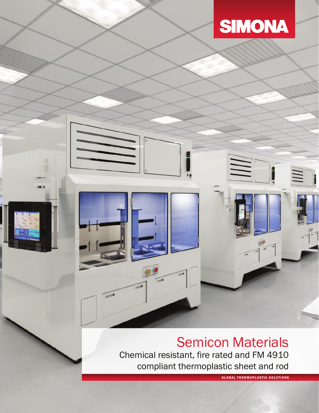

# Semicon Materials

Chemical resistant, fire rated and FM 4910 compliant thermoplastic sheet and rod

**GLOBAL THERMOPLASTIC SOLUTIONS**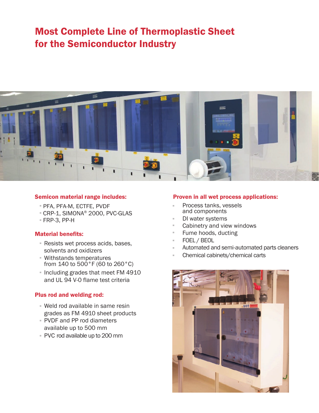# Most Complete Line of Thermoplastic Sheet for the Semiconductor Industry



### Semicon material range includes:

- PFA, PFA-M, ECTFE, PVDF
- CRP-1, SIMONA® 2000, PVC-GLAS
- FRP-3, PP-H

### Material benefits:

- Resists wet process acids, bases, solvents and oxidizers
- Withstands temperatures from 140 to 500°F (60 to 260°C)
- $\,$  Including grades that meet FM 4910  $\,$ and UL 94 V-0 flame test criteria

### Plus rod and welding rod:

- Weld rod available in same resin grades as FM 4910 sheet products
- PVDF and PP rod diameters available up to 500 mm
- PVC rod available up to 200 mm

#### Proven in all wet process applications:

- Process tanks, vessels and components
- DI water systems
- Cabinetry and view windows
- Fume hoods, ducting
- FOEL / BEOL
- Automated and semi-automated parts cleaners
- Chemical cabinets/chemical carts

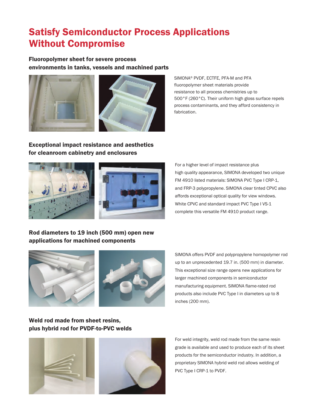# Satisfy Semiconductor Process Applications Without Compromise

### environments in tanks, vessels and machined parts Fluoropolymer sheet for severe process





Exceptional impact resistance and aesthetics for cleanroom cabinetry and enclosures

SIMONA® PVDF, ECTFE, PFA-M and PFA fluoropolymer sheet materials provide resistance to all process chemistries up to 500°F (260°C). Their uniform high gloss surface repels process contaminants, and they afford consistency in fabrication.



For a higher level of impact resistance plus high quality appearance, SIMONA developed two unique FM 4910 listed materials: SIMONA PVC Type I CRP-1, and FRP-3 polypropylene. SIMONA clear tinted CPVC also affords exceptional optical quality for view windows. White CPVC and standard impact PVC Type I VS-1 complete this versatile FM 4910 product range.

Rod diameters to 19 inch (500 mm) open new applications for machined components





SIMONA offers PVDF and polypropylene homopolymer rod up to an unprecedented 19.7 in. (500 mm) in diameter. This exceptional size range opens new applications for larger machined components in semiconductor manufacturing equipment. SIMONA flame-rated rod products also include PVC Type I in diameters up to 8 inches (200 mm).

Weld rod made from sheet resins, plus hybrid rod for PVDF-to-PVC welds



For weld integrity, weld rod made from the same resin grade is available and used to produce each of its sheet products for the semiconductor industry. In addition, a proprietary SIMONA hybrid weld rod allows welding of PVC Type I CRP-1 to PVDF.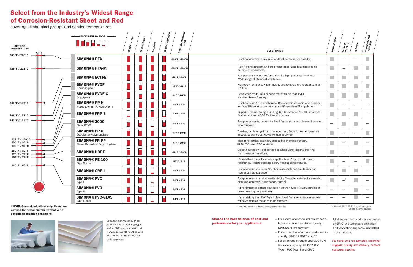## Select from the Industry's Widest Range of Corrosion-Resistant Sheet and Rod

covering all chemical groups and service temperatures

*Depending on material, sheet products are offered in gauges to 4 in. (100 mm) and solid rod in diameters to 31 in. (800 mm) with popular sizes in stock for rapid shipment.*

1 FM 4910 listed PP and PVC Type I grades available All tests at 73°F (22.8°C) in dry conditions

Choose the best balance of cost and performance for your application:

> *For sheet and rod samples, technical support, pricing and delivery, contact customer service.*

- high service temperatures specify: SIMONA Fluoropolymers
- For economical all-around performance specify: SIMONA HDPE and PP
- For structural strength and UL 94 V-0 Type I, PVC Type II and CPVC fire ratings specify: SIMONA PVC

| <b>DESCRIPTION</b>                                                                                                                             | WELDING ROD | SEMICON<br>FM 4910      | UL 94 V-0 | FABRIC BACKED<br>  LAMINATES |  |
|------------------------------------------------------------------------------------------------------------------------------------------------|-------------|-------------------------|-----------|------------------------------|--|
| Excellent chemical resistance and high temperature stability.                                                                                  |             |                         |           |                              |  |
| High flexural strength and crack resistance. Excellent gloss repels                                                                            |             |                         |           |                              |  |
| surface contaminants.                                                                                                                          |             |                         |           |                              |  |
| Exceptionally smooth surface. Ideal for high purity applications.<br>Wide range of chemical resistance.                                        |             |                         |           |                              |  |
| Homopolymer grade. Higher rigidity and temperature resistance than<br>PVDF-C.                                                                  |             |                         |           |                              |  |
| Copolymer grade. Tougher and more flexible than PVDF.<br>Ideal for thermoforming.                                                              |             |                         |           |                              |  |
| Excellent strength-to-weight ratio. Resists staining, maintains excellent<br>surface. Higher structural strength, stiffness than PP copolymer. |             |                         |           |                              |  |
| Superior impact strength, and rigidity. Unmatched 12.0 ft-in notched<br>Izod impact and 400K PSI fleural modulus                               |             |                         |           |                              |  |
| Exceptional clarity, uniformity. Ideal for semicon and chemical process<br>view windows.                                                       |             |                         |           |                              |  |
| Tougher, but less rigid than homopolymer. Superior low temperature<br>impact resistance vs. HDPE, PP homopolymer.                              |             |                         |           |                              |  |
| Ideal for electrical cabinetry exposed to chemical contact.<br>UL 94 V-0 rated PP-C material.                                                  |             | $\mathbf{1}$            |           |                              |  |
| Smooth surface will not corrode or tuberculate. Resists cracking<br>from pressure variations.                                                  |             |                         |           |                              |  |
| UV stabilized black for exterior applications. Exceptional impact<br>resistance. Resists cracking below freezing temperatures.                 |             |                         |           |                              |  |
| Exceptional impact strength, chemical resistance, weldability and<br>high quality appearance                                                   |             |                         |           |                              |  |
| Exceptional structural strength, rigidity. Versatile material for vessels,<br>electrical cabinetry, fume hoods, ducting.                       |             | $\overline{\mathbf{1}}$ |           |                              |  |
| Higher impact resistance but less rigid than Type I. Tough, durable at<br>below freezing temperatures.                                         |             |                         |           |                              |  |
| Higher rigidity than PVC Type II clear. Ideal for large surface area view<br>windows, shields requiring more stiffness.                        |             |                         |           |                              |  |

| <b>SERVICE</b><br><b>TEMPERATURE</b>                                          | $-$ EXCELLENT TO POOR $\longrightarrow$<br>A E S S U I. | <b>STRONG ACIDS</b> | STRONG BASES | <b>SOLIVENTS</b> | <b>STRONG OXIDIZERS</b> | COLD TEMPERATURE<br>LINIT         |                                                                                                                                                | ROD<br><b>WELDING</b>    | SEMICON<br>FM 4910       | ەء<br>$\frac{3}{4}$ | <b>FABRIC</b>            |
|-------------------------------------------------------------------------------|---------------------------------------------------------|---------------------|--------------|------------------|-------------------------|-----------------------------------|------------------------------------------------------------------------------------------------------------------------------------------------|--------------------------|--------------------------|---------------------|--------------------------|
|                                                                               |                                                         |                     |              |                  |                         |                                   | <b>DESCRIPTION</b>                                                                                                                             |                          |                          | $\mathbf{s}$        |                          |
| 500°F / 260°C                                                                 | <b>SIMONA® PFA</b>                                      |                     |              |                  |                         | $-310 °F/ -190 °C$                | Excellent chemical resistance and high temperature stability.                                                                                  | $\mathbb{R}^n$           | $\overline{\phantom{0}}$ | $\equiv$            |                          |
| 425°F / 218°C                                                                 | <b>SIMONA® PFA-M</b>                                    |                     |              |                  |                         | 382°F/-230°C                      | High flexural strength and crack resistance. Excellent gloss repels<br>surface contaminants.                                                   | $\mathbb{R}^n$           |                          | H.                  |                          |
|                                                                               | <b>SIMONA® ECTFE</b>                                    |                     |              |                  |                         | $-40 °F / -40 °C$                 | Exceptionally smooth surface. Ideal for high purity applications.<br>Wide range of chemical resistance.                                        | ×                        | p.                       | H.                  |                          |
|                                                                               | <b>SIMONA® PVDF</b><br>Homopolymer                      |                     |              |                  |                         | $14^{\circ}$ F / -10 $^{\circ}$ C | Homopolymer grade. Higher rigidity and temperature resistance than<br>PVDF-C.                                                                  |                          | ł.                       |                     |                          |
|                                                                               | <b>SIMONA® PVDF-C</b><br>Copolymer                      |                     |              |                  |                         | $-4°F/ -20°C$                     | Copolymer grade. Tougher and more flexible than PVDF.<br>Ideal for thermoforming.                                                              |                          |                          |                     |                          |
| 302°F/149°C                                                                   | <b>SIMONA® PP-H</b><br>Homopolymer Polypropylene        |                     |              |                  |                         | $32^{\circ}$ F / 0 $^{\circ}$ C   | Excellent strength-to-weight ratio. Resists staining, maintains excellent<br>surface. Higher structural strength, stiffness than PP copolymer. |                          | $\overline{\phantom{0}}$ | $\equiv$            |                          |
| 261°F / 127°C                                                                 | <b>SIMONA® FRP-3</b>                                    |                     |              |                  |                         | 32°F/0°C                          | Superior impact strength, and rigidity. Unmatched 12.0 ft-in notched<br>Izod impact and 400K PSI fleural modulus                               |                          |                          |                     | $\overline{\phantom{a}}$ |
| 253°F / 123°C                                                                 | SIMONA®2000<br>Clear CPVC                               |                     |              |                  |                         | 32°F/0°C                          | Exceptional clarity, uniformity. Ideal for semicon and chemical process<br>view windows.                                                       | $\overline{\phantom{m}}$ | P.                       | L.                  | $\qquad \qquad$          |
|                                                                               | <b>SIMONA® PP-C</b><br>Copolymer Polypropylene          |                     |              |                  |                         | $-4°F/ -20°C$                     | Tougher, but less rigid than homopolymer. Superior low temperature<br>impact resistance vs. HDPE, PP homopolymer.                              | p.                       | $\overline{\phantom{m}}$ | —                   |                          |
| 212°F / 100°C<br>a s<br>200°F / 93°C<br>m n<br>$195\degree$ F / $91\degree$ C | <b>SIMONA® FR-PP</b><br>Flame Retardant Polypropylene   |                     |              |                  |                         | $-4°F/ -20°C$                     | Ideal for electrical cabinetry exposed to chemical contact.<br>UL 94 V-0 rated PP-C material.                                                  |                          | $-1$                     |                     |                          |
| $180\degree$ F / 82 $\degree$ C<br>170°F/77°C<br>$\Box$                       | <b>SIMONA® HDPE</b>                                     |                     |              |                  |                         | $-58°F / -50°C$                   | Smooth surface will not corrode or tuberculate. Resists cracking<br>from pressure variations.                                                  | $\mathbb{R}^n$           | $\overline{\phantom{0}}$ | $\qquad \qquad =$   |                          |
| 163°F / 72°C<br>$140\degree$ F / 60 $\degree$ C                               | <b>SIMONA® PE 100</b><br>Pipe Grade                     |                     |              |                  |                         | $-58\degree$ F / 0 $\degree$ C    | UV stabilized black for exterior applications. Exceptional impact<br>resistance. Resists cracking below freezing temperatures.                 |                          | $\overline{\phantom{a}}$ |                     |                          |
|                                                                               | SIMONA® CRP-1                                           |                     |              |                  |                         | $32^{\circ}$ F / 0 $^{\circ}$ C   | Exceptional impact strength, chemical resistance, weldability and<br>high quality appearance                                                   | p.                       | F                        | H.                  |                          |
|                                                                               | <b>SIMONA® PVC</b><br>Type I                            |                     |              |                  |                         | $32^{\circ}$ F / 0 $^{\circ}$ C   | Exceptional structural strength, rigidity. Versatile material for vessels,<br>electrical cabinetry, fume hoods, ducting.                       |                          | $-1$                     |                     |                          |
|                                                                               | <b>SIMONA® PVC</b><br>Type II                           |                     |              |                  |                         | $32^{\circ}$ F / 0 $^{\circ}$ C   | Higher impact resistance but less rigid than Type I. Tough, durable at<br>below freezing temperatures.                                         | $\qquad \qquad =$        |                          |                     | $\overline{\phantom{a}}$ |
|                                                                               | <b>SIMONA® PVC-GLAS</b><br>Type I Clear                 |                     |              |                  |                         | $32^{\circ}$ F / 0 $^{\circ}$ C   | Higher rigidity than PVC Type II clear. Ideal for large surface area view<br>windows, shields requiring more stiffness.                        | $\overline{\phantom{m}}$ |                          |                     | $\overline{\phantom{a}}$ |

unless otherwise noted.

For exceptional chemical resistance at

All sheet and rod products are backed by SIMONA's technical application and fabrication support—unequalled in the industry.

\*NOTE: General guidelines only. Users are advised to test for suitability relative to specific application conditions.



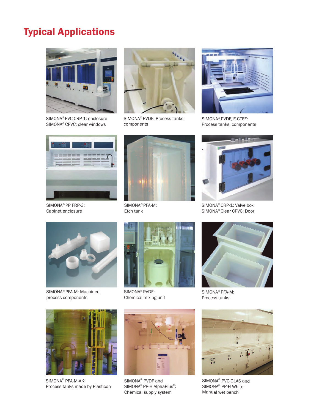# Typical Applications



SIMONA® PVC CRP-1: enclosure SIMONA® CPVC: clear windows



SIMONA® PVDF: Process tanks, components



SIMONA® PVDF, E-CTFE: Process tanks, components



SIMONA® PP FRP-3: Cabinet enclosure



SIMONA® PFA-M: Etch tank



SIMONA® CRP-1: Valve box SIMONA® Clear CPVC: Door



SIMONA® PFA-M: Machined process components



SIMONA® PVDF: Chemical mixing unit



SIMONA® PFA-M: Process tanks



SIMONA® PFA-M-AK: Process tanks made by Plasticon



SIMONA® PVDF and SIMONA® PP-H AlphaPlus ®: Chemical supply system



SIMONA® PVC-GLAS and SIMONA® PP-H White: Manual wet bench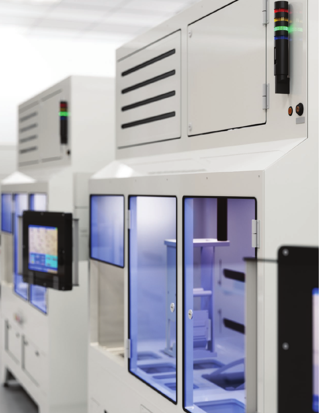